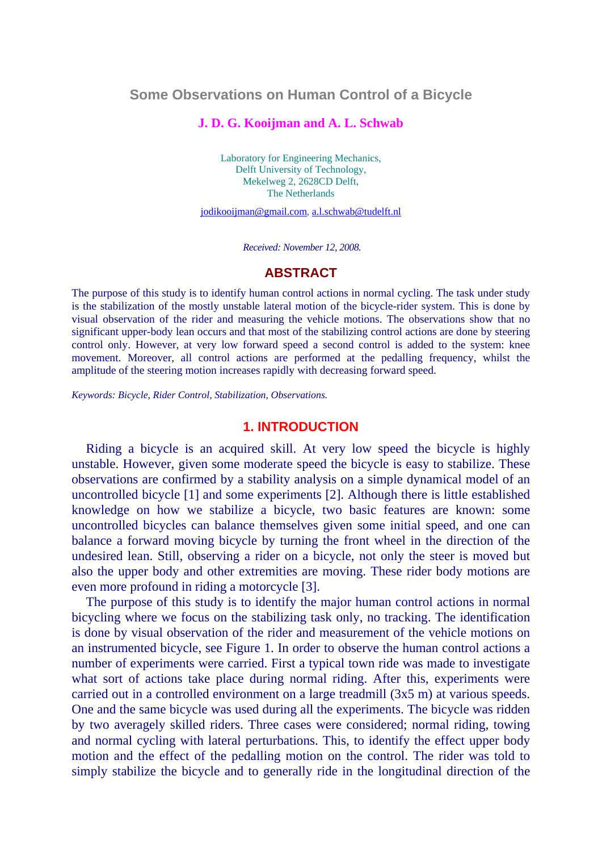## **Some Observations on Human Control of a Bicycle**

### **J. D. G. Kooijman and A. L. Schwab**

Laboratory for Engineering Mechanics, Delft University of Technology, Mekelweg 2, 2628CD Delft, The Netherlands

[jodikooijman@gmail.com,](mailto:jodikooijman@gmail.com) [a.l.schwab@tudelft.nl](mailto:a.l.schwab@tudelft.nl)

 *Received: November 12, 2008.* 

#### **ABSTRACT**

The purpose of this study is to identify human control actions in normal cycling. The task under study is the stabilization of the mostly unstable lateral motion of the bicycle-rider system. This is done by visual observation of the rider and measuring the vehicle motions. The observations show that no significant upper-body lean occurs and that most of the stabilizing control actions are done by steering control only. However, at very low forward speed a second control is added to the system: knee movement. Moreover, all control actions are performed at the pedalling frequency, whilst the amplitude of the steering motion increases rapidly with decreasing forward speed.

*Keywords: Bicycle, Rider Control, Stabilization, Observations.*

### **1. INTRODUCTION**

Riding a bicycle is an acquired skill. At very low speed the bicycle is highly unstable. However, given some moderate speed the bicycle is easy to stabilize. These observations are confirmed by a stability analysis on a simple dynamical model of an uncontrolled bicycle [1] and some experiments [2]. Although there is little established knowledge on how we stabilize a bicycle, two basic features are known: some uncontrolled bicycles can balance themselves given some initial speed, and one can balance a forward moving bicycle by turning the front wheel in the direction of the undesired lean. Still, observing a rider on a bicycle, not only the steer is moved but also the upper body and other extremities are moving. These rider body motions are even more profound in riding a motorcycle [3].

The purpose of this study is to identify the major human control actions in normal bicycling where we focus on the stabilizing task only, no tracking. The identification is done by visual observation of the rider and measurement of the vehicle motions on an instrumented bicycle, see Figure 1. In order to observe the human control actions a number of experiments were carried. First a typical town ride was made to investigate what sort of actions take place during normal riding. After this, experiments were carried out in a controlled environment on a large treadmill (3x5 m) at various speeds. One and the same bicycle was used during all the experiments. The bicycle was ridden by two averagely skilled riders. Three cases were considered; normal riding, towing and normal cycling with lateral perturbations. This, to identify the effect upper body motion and the effect of the pedalling motion on the control. The rider was told to simply stabilize the bicycle and to generally ride in the longitudinal direction of the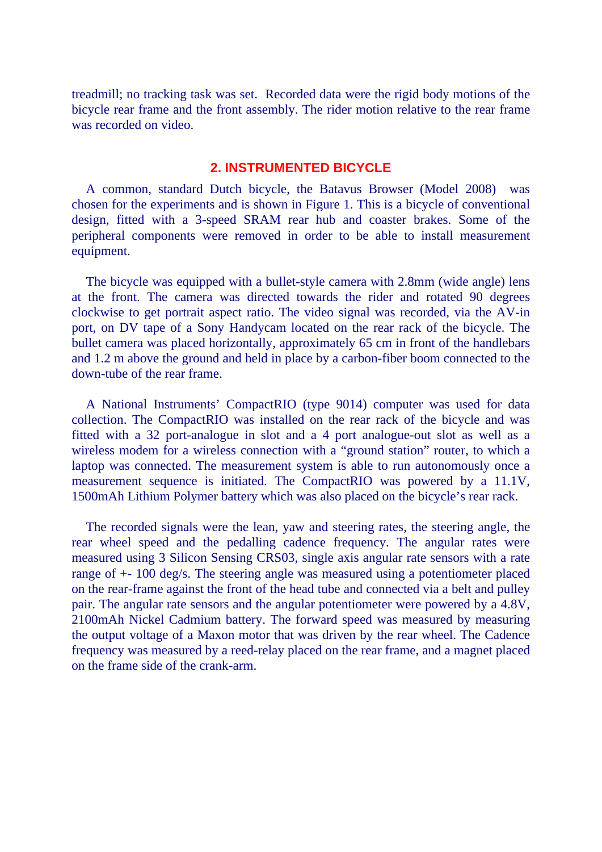treadmill; no tracking task was set. Recorded data were the rigid body motions of the bicycle rear frame and the front assembly. The rider motion relative to the rear frame was recorded on video.

### **2. INSTRUMENTED BICYCLE**

A common, standard Dutch bicycle, the Batavus Browser (Model 2008) was chosen for the experiments and is shown in Figure 1. This is a bicycle of conventional design, fitted with a 3-speed SRAM rear hub and coaster brakes. Some of the peripheral components were removed in order to be able to install measurement equipment.

The bicycle was equipped with a bullet-style camera with 2.8mm (wide angle) lens at the front. The camera was directed towards the rider and rotated 90 degrees clockwise to get portrait aspect ratio. The video signal was recorded, via the AV-in port, on DV tape of a Sony Handycam located on the rear rack of the bicycle. The bullet camera was placed horizontally, approximately 65 cm in front of the handlebars and 1.2 m above the ground and held in place by a carbon-fiber boom connected to the down-tube of the rear frame.

A National Instruments' CompactRIO (type 9014) computer was used for data collection. The CompactRIO was installed on the rear rack of the bicycle and was fitted with a 32 port-analogue in slot and a 4 port analogue-out slot as well as a wireless modem for a wireless connection with a "ground station" router, to which a laptop was connected. The measurement system is able to run autonomously once a measurement sequence is initiated. The CompactRIO was powered by a 11.1V, 1500mAh Lithium Polymer battery which was also placed on the bicycle's rear rack.

The recorded signals were the lean, yaw and steering rates, the steering angle, the rear wheel speed and the pedalling cadence frequency. The angular rates were measured using 3 Silicon Sensing CRS03, single axis angular rate sensors with a rate range of +- 100 deg/s. The steering angle was measured using a potentiometer placed on the rear-frame against the front of the head tube and connected via a belt and pulley pair. The angular rate sensors and the angular potentiometer were powered by a 4.8V, 2100mAh Nickel Cadmium battery. The forward speed was measured by measuring the output voltage of a Maxon motor that was driven by the rear wheel. The Cadence frequency was measured by a reed-relay placed on the rear frame, and a magnet placed on the frame side of the crank-arm.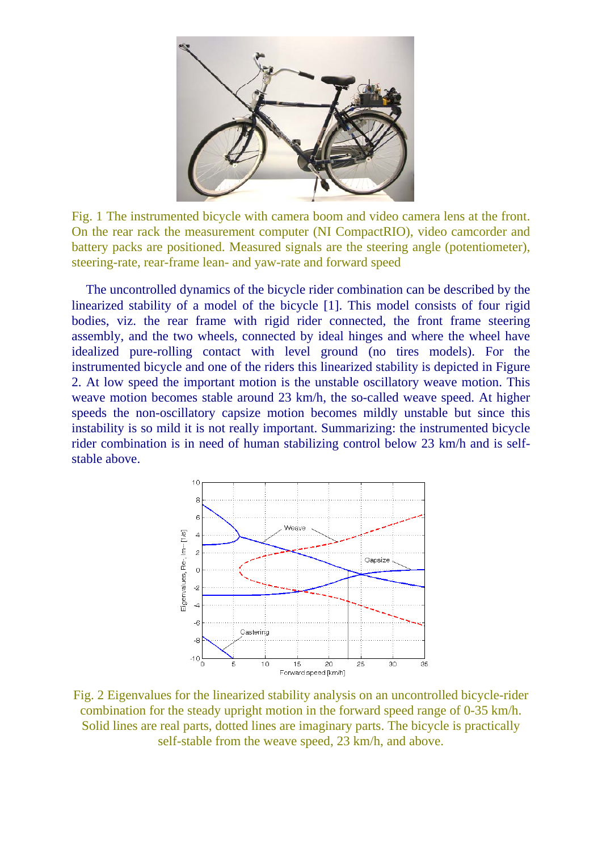

Fig. 1 The instrumented bicycle with camera boom and video camera lens at the front. On the rear rack the measurement computer (NI CompactRIO), video camcorder and battery packs are positioned. Measured signals are the steering angle (potentiometer), steering-rate, rear-frame lean- and yaw-rate and forward speed

The uncontrolled dynamics of the bicycle rider combination can be described by the linearized stability of a model of the bicycle [1]. This model consists of four rigid bodies, viz. the rear frame with rigid rider connected, the front frame steering assembly, and the two wheels, connected by ideal hinges and where the wheel have idealized pure-rolling contact with level ground (no tires models). For the instrumented bicycle and one of the riders this linearized stability is depicted in Figure 2. At low speed the important motion is the unstable oscillatory weave motion. This weave motion becomes stable around 23 km/h, the so-called weave speed. At higher speeds the non-oscillatory capsize motion becomes mildly unstable but since this instability is so mild it is not really important. Summarizing: the instrumented bicycle rider combination is in need of human stabilizing control below 23 km/h and is selfstable above.



Fig. 2 Eigenvalues for the linearized stability analysis on an uncontrolled bicycle-rider combination for the steady upright motion in the forward speed range of 0-35 km/h. Solid lines are real parts, dotted lines are imaginary parts. The bicycle is practically self-stable from the weave speed, 23 km/h, and above.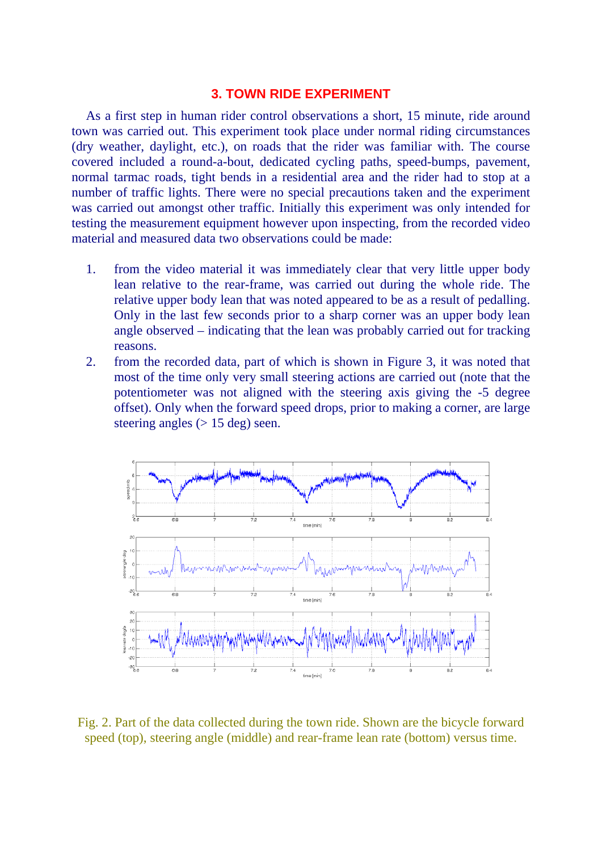## **3. TOWN RIDE EXPERIMENT**

As a first step in human rider control observations a short, 15 minute, ride around town was carried out. This experiment took place under normal riding circumstances (dry weather, daylight, etc.), on roads that the rider was familiar with. The course covered included a round-a-bout, dedicated cycling paths, speed-bumps, pavement, normal tarmac roads, tight bends in a residential area and the rider had to stop at a number of traffic lights. There were no special precautions taken and the experiment was carried out amongst other traffic. Initially this experiment was only intended for testing the measurement equipment however upon inspecting, from the recorded video material and measured data two observations could be made:

- 1. from the video material it was immediately clear that very little upper body lean relative to the rear-frame, was carried out during the whole ride. The relative upper body lean that was noted appeared to be as a result of pedalling. Only in the last few seconds prior to a sharp corner was an upper body lean angle observed – indicating that the lean was probably carried out for tracking reasons.
- 2. from the recorded data, part of which is shown in Figure 3, it was noted that most of the time only very small steering actions are carried out (note that the potentiometer was not aligned with the steering axis giving the -5 degree offset). Only when the forward speed drops, prior to making a corner, are large steering angles  $(> 15 \text{ deg})$  seen.



Fig. 2. Part of the data collected during the town ride. Shown are the bicycle forward speed (top), steering angle (middle) and rear-frame lean rate (bottom) versus time.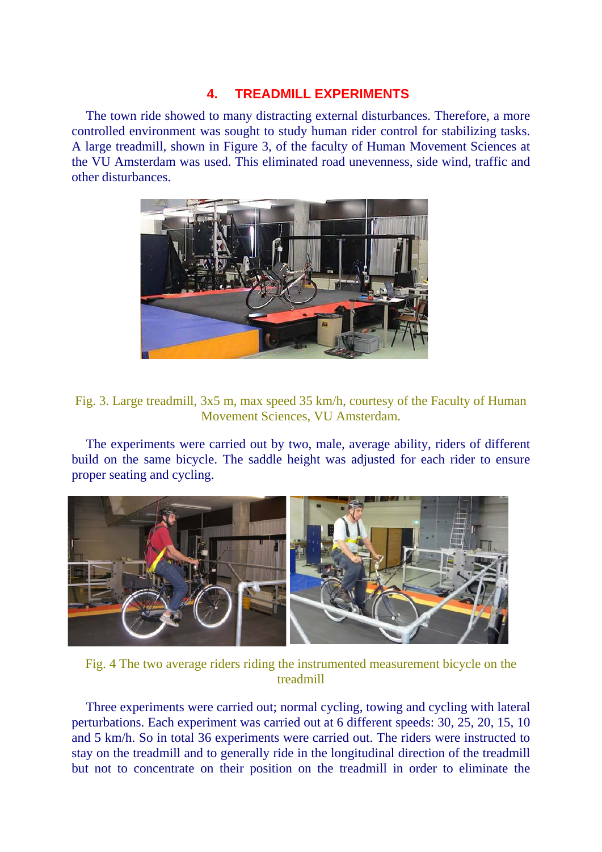# **4. TREADMILL EXPERIMENTS**

The town ride showed to many distracting external disturbances. Therefore, a more controlled environment was sought to study human rider control for stabilizing tasks. A large treadmill, shown in Figure 3, of the faculty of Human Movement Sciences at the VU Amsterdam was used. This eliminated road unevenness, side wind, traffic and other disturbances.



# Fig. 3. Large treadmill, 3x5 m, max speed 35 km/h, courtesy of the Faculty of Human Movement Sciences, VU Amsterdam.

The experiments were carried out by two, male, average ability, riders of different build on the same bicycle. The saddle height was adjusted for each rider to ensure proper seating and cycling.



Fig. 4 The two average riders riding the instrumented measurement bicycle on the treadmill

Three experiments were carried out; normal cycling, towing and cycling with lateral perturbations. Each experiment was carried out at 6 different speeds: 30, 25, 20, 15, 10 and 5 km/h. So in total 36 experiments were carried out. The riders were instructed to stay on the treadmill and to generally ride in the longitudinal direction of the treadmill but not to concentrate on their position on the treadmill in order to eliminate the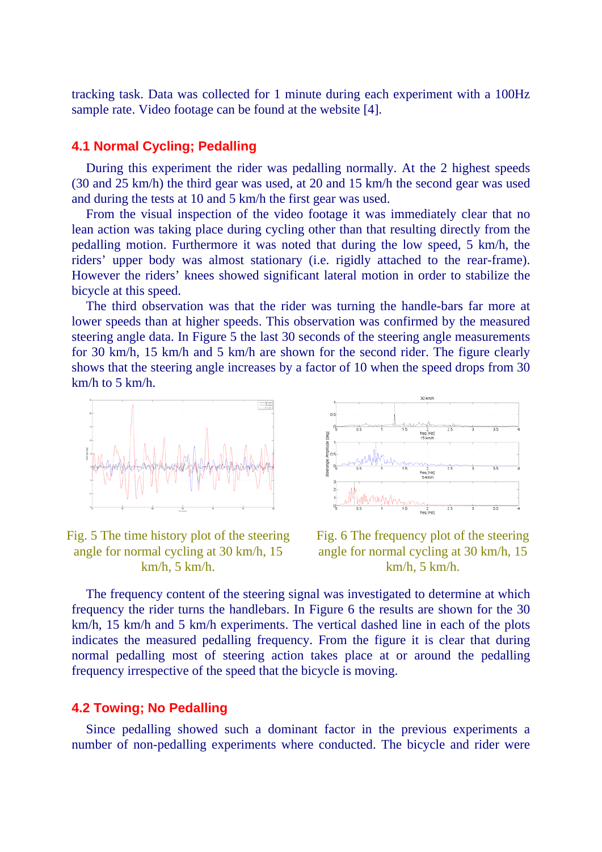tracking task. Data was collected for 1 minute during each experiment with a 100Hz sample rate. Video footage can be found at the website [4].

## **4.1 Normal Cycling; Pedalling**

During this experiment the rider was pedalling normally. At the 2 highest speeds (30 and 25 km/h) the third gear was used, at 20 and 15 km/h the second gear was used and during the tests at 10 and 5 km/h the first gear was used.

From the visual inspection of the video footage it was immediately clear that no lean action was taking place during cycling other than that resulting directly from the pedalling motion. Furthermore it was noted that during the low speed, 5 km/h, the riders' upper body was almost stationary (i.e. rigidly attached to the rear-frame). However the riders' knees showed significant lateral motion in order to stabilize the bicycle at this speed.

The third observation was that the rider was turning the handle-bars far more at lower speeds than at higher speeds. This observation was confirmed by the measured steering angle data. In Figure 5 the last 30 seconds of the steering angle measurements for 30 km/h, 15 km/h and 5 km/h are shown for the second rider. The figure clearly shows that the steering angle increases by a factor of 10 when the speed drops from 30 km/h to 5 km/h.



Fig. 5 The time history plot of the steering angle for normal cycling at 30 km/h, 15 km/h, 5 km/h.



Fig. 6 The frequency plot of the steering angle for normal cycling at 30 km/h, 15 km/h, 5 km/h.

The frequency content of the steering signal was investigated to determine at which frequency the rider turns the handlebars. In Figure 6 the results are shown for the 30 km/h, 15 km/h and 5 km/h experiments. The vertical dashed line in each of the plots indicates the measured pedalling frequency. From the figure it is clear that during normal pedalling most of steering action takes place at or around the pedalling frequency irrespective of the speed that the bicycle is moving.

#### **4.2 Towing; No Pedalling**

Since pedalling showed such a dominant factor in the previous experiments a number of non-pedalling experiments where conducted. The bicycle and rider were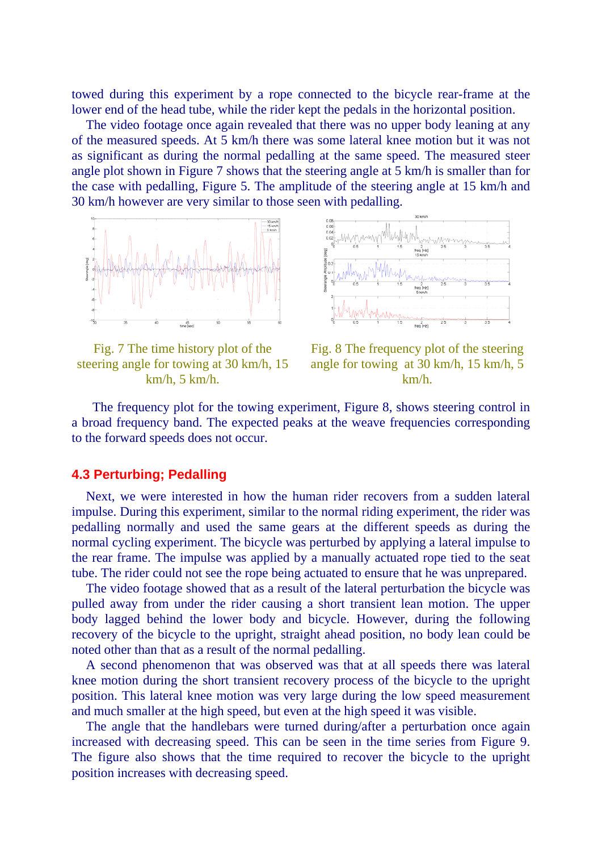towed during this experiment by a rope connected to the bicycle rear-frame at the lower end of the head tube, while the rider kept the pedals in the horizontal position.

The video footage once again revealed that there was no upper body leaning at any of the measured speeds. At 5 km/h there was some lateral knee motion but it was not as significant as during the normal pedalling at the same speed. The measured steer angle plot shown in Figure 7 shows that the steering angle at 5 km/h is smaller than for the case with pedalling, Figure 5. The amplitude of the steering angle at 15 km/h and 30 km/h however are very similar to those seen with pedalling.



Fig. 7 The time history plot of the steering angle for towing at 30 km/h, 15 km/h, 5 km/h.





 The frequency plot for the towing experiment, Figure 8, shows steering control in a broad frequency band. The expected peaks at the weave frequencies corresponding to the forward speeds does not occur.

### **4.3 Perturbing; Pedalling**

Next, we were interested in how the human rider recovers from a sudden lateral impulse. During this experiment, similar to the normal riding experiment, the rider was pedalling normally and used the same gears at the different speeds as during the normal cycling experiment. The bicycle was perturbed by applying a lateral impulse to the rear frame. The impulse was applied by a manually actuated rope tied to the seat tube. The rider could not see the rope being actuated to ensure that he was unprepared.

The video footage showed that as a result of the lateral perturbation the bicycle was pulled away from under the rider causing a short transient lean motion. The upper body lagged behind the lower body and bicycle. However, during the following recovery of the bicycle to the upright, straight ahead position, no body lean could be noted other than that as a result of the normal pedalling.

A second phenomenon that was observed was that at all speeds there was lateral knee motion during the short transient recovery process of the bicycle to the upright position. This lateral knee motion was very large during the low speed measurement and much smaller at the high speed, but even at the high speed it was visible.

The angle that the handlebars were turned during/after a perturbation once again increased with decreasing speed. This can be seen in the time series from Figure 9. The figure also shows that the time required to recover the bicycle to the upright position increases with decreasing speed.